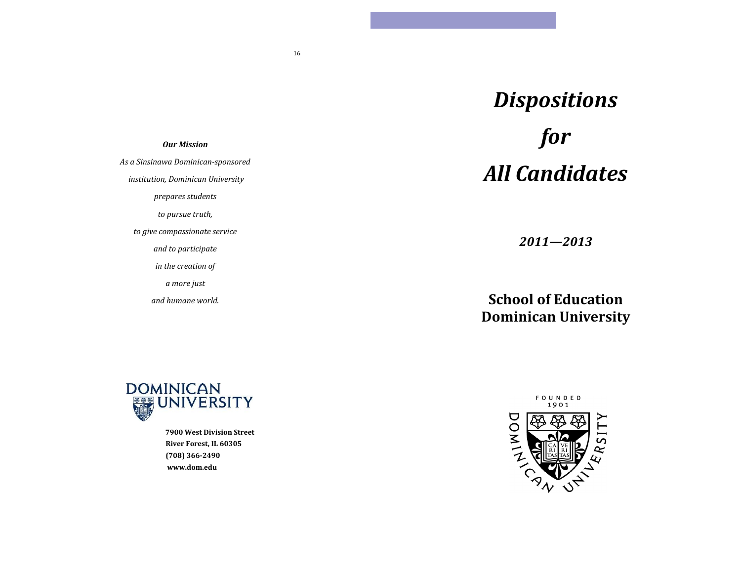### *Our Mission*

*As a Sinsinawa Dominican-sponsored institution, Dominican University prepares students*

*to pursue truth,*

*to give compassionate service*

*and to participate*

*in the creation of*

*a more just* 

*and humane world.*

# *Dispositions for All Candidates*

*2011—2013*

**School of Education Dominican University**





16

**DOMINICAN WEBSITY** 

> **7900 West Division Street River Forest, IL 60305 (708) 366-2490 www.dom.edu**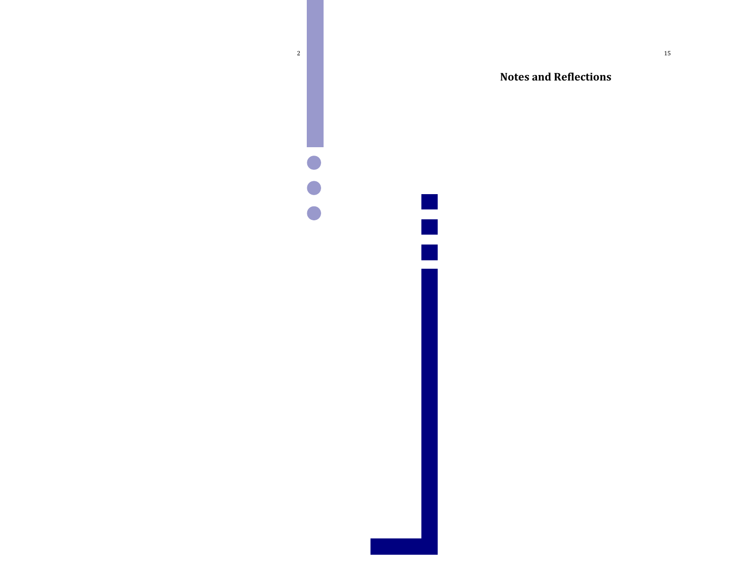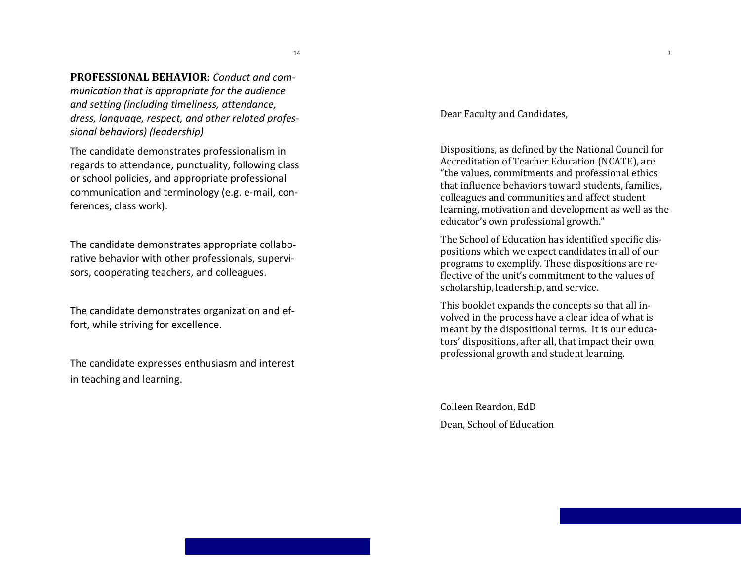## **PROFESSIONAL BEHAVIOR**: *Conduct and com-*

*munication that is appropriate for the audience and setting (including timeliness, attendance, dress, language, respect, and other related professional behaviors) (leadership)*

The candidate demonstrates professionalism in regards to attendance, punctuality, following class or school policies, and appropriate professional communication and terminology (e.g. e-mail, conferences, class work).

The candidate demonstrates appropriate collaborative behavior with other professionals, supervisors, cooperating teachers, and colleagues.

The candidate demonstrates organization and effort, while striving for excellence.

The candidate expresses enthusiasm and interest in teaching and learning.

Dear Faculty and Candidates,

Dispositions, as defined by the National Council for Accreditation of Teacher Education (NCATE), are "the values, commitments and professional ethics that influence behaviors toward students, families, colleagues and communities and affect student learning, motivation and development as well as the educator's own professional growth."

The School of Education has identified specific dispositions which we expect candidates in all of our programs to exemplify. These dispositions are reflective of the unit's commitment to the values of scholarship, leadership, and service.

This booklet expands the concepts so that all involved in the process have a clear idea of what is meant by the dispositional terms. It is our educators' dispositions, after all, that impact their own professional growth and student learning.

Colleen Reardon, EdD Dean, School of Education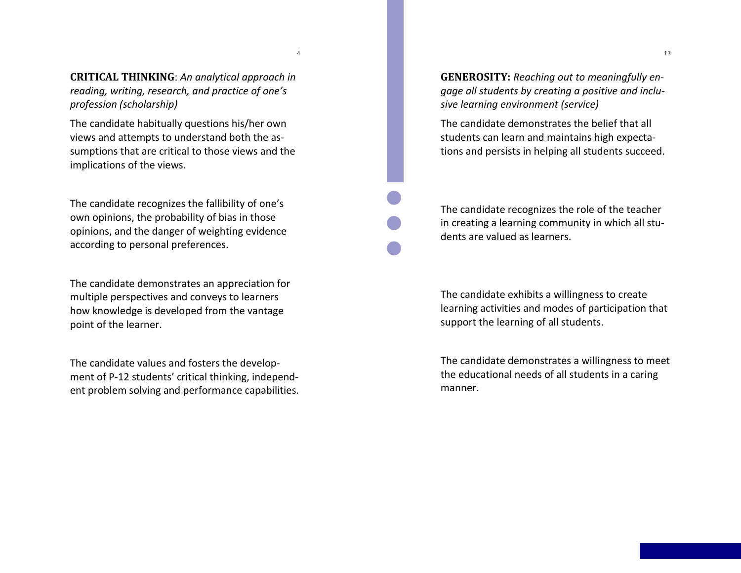**CRITICAL THINKING**: *An analytical approach in reading, writing, research, and practice of one's profession (scholarship)*

4

The candidate habitually questions his/her own views and attempts to understand both the assumptions that are critical to those views and the implications of the views.

The candidate recognizes the fallibility of one's own opinions, the probability of bias in those opinions, and the danger of weighting evidence according to personal preferences.

The candidate demonstrates an appreciation for multiple perspectives and conveys to learners how knowledge is developed from the vantage point of the learner.

The candidate values and fosters the development of P-12 students' critical thinking, independent problem solving and performance capabilities. **GENEROSITY:** *Reaching out to meaningfully engage all students by creating a positive and inclusive learning environment (service)*

The candidate demonstrates the belief that all students can learn and maintains high expectations and persists in helping all students succeed.

The candidate recognizes the role of the teacher in creating a learning community in which all students are valued as learners.

The candidate exhibits a willingness to create learning activities and modes of participation that support the learning of all students.

The candidate demonstrates a willingness to meet the educational needs of all students in a caring manner.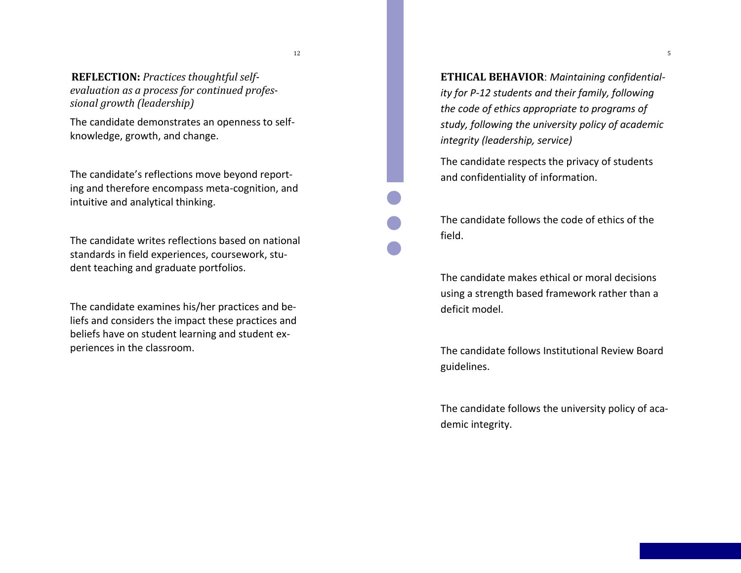**REFLECTION:** *Practices thoughtful selfevaluation as a process for continued professional growth (leadership)*

The candidate demonstrates an openness to selfknowledge, growth, and change.

The candidate's reflections move beyond reporting and therefore encompass meta-cognition, and intuitive and analytical thinking.

The candidate writes reflections based on national standards in field experiences, coursework, student teaching and graduate portfolios.

The candidate examines his/her practices and beliefs and considers the impact these practices and beliefs have on student learning and student experiences in the classroom.

**ETHICAL BEHAVIOR**: *Maintaining confidentiality for P-12 students and their family, following the code of ethics appropriate to programs of study, following the university policy of academic integrity (leadership, service)*

The candidate respects the privacy of students and confidentiality of information.

The candidate follows the code of ethics of the field.

The candidate makes ethical or moral decisions using a strength based framework rather than a deficit model.

The candidate follows Institutional Review Board guidelines.

The candidate follows the university policy of academic integrity.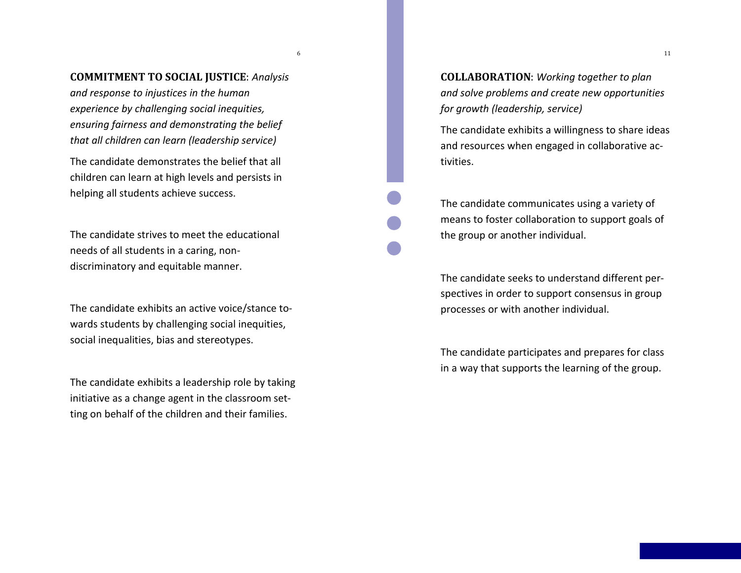#### **COMMITMENT TO SOCIAL JUSTICE**: *Analysis*

6

*and response to injustices in the human experience by challenging social inequities, ensuring fairness and demonstrating the belief that all children can learn (leadership service)*

The candidate demonstrates the belief that all children can learn at high levels and persists in helping all students achieve success.

The candidate strives to meet the educational needs of all students in a caring, nondiscriminatory and equitable manner.

The candidate exhibits an active voice/stance towards students by challenging social inequities, social inequalities, bias and stereotypes.

The candidate exhibits a leadership role by taking initiative as a change agent in the classroom setting on behalf of the children and their families.

**COLLABORATION**: *Working together to plan and solve problems and create new opportunities for growth (leadership, service)*

The candidate exhibits a willingness to share ideas and resources when engaged in collaborative activities.

The candidate communicates using a variety of means to foster collaboration to support goals of the group or another individual.

The candidate seeks to understand different perspectives in order to support consensus in group processes or with another individual.

The candidate participates and prepares for class in a way that supports the learning of the group.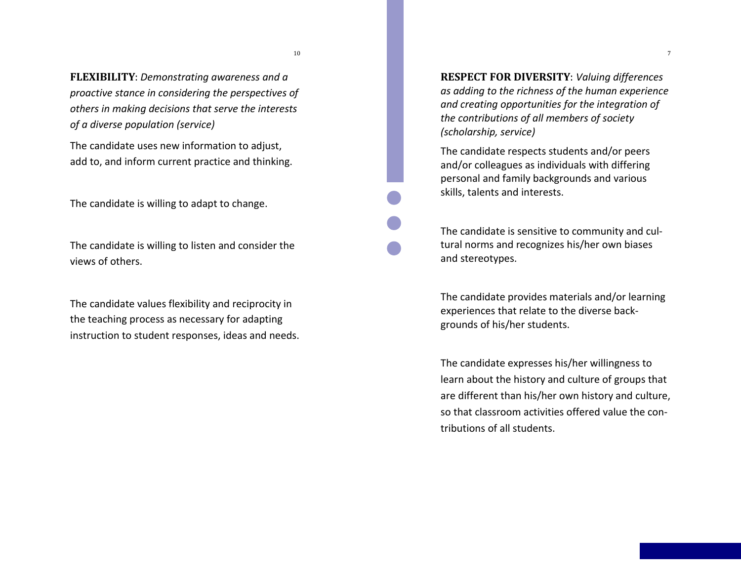7

**FLEXIBILITY**: *Demonstrating awareness and a proactive stance in considering the perspectives of others in making decisions that serve the interests of a diverse population (service)*

10

The candidate uses new information to adjust, add to, and inform current practice and thinking.

The candidate is willing to adapt to change.

The candidate is willing to listen and consider the views of others.

The candidate values flexibility and reciprocity in the teaching process as necessary for adapting instruction to student responses, ideas and needs. **RESPECT FOR DIVERSITY**: *Valuing differences as adding to the richness of the human experience and creating opportunities for the integration of the contributions of all members of society (scholarship, service)*

The candidate respects students and/or peers and/or colleagues as individuals with differing personal and family backgrounds and various skills, talents and interests.

The candidate is sensitive to community and cultural norms and recognizes his/her own biases and stereotypes.

The candidate provides materials and/or learning experiences that relate to the diverse backgrounds of his/her students.

The candidate expresses his/her willingness to learn about the history and culture of groups that are different than his/her own history and culture, so that classroom activities offered value the contributions of all students.